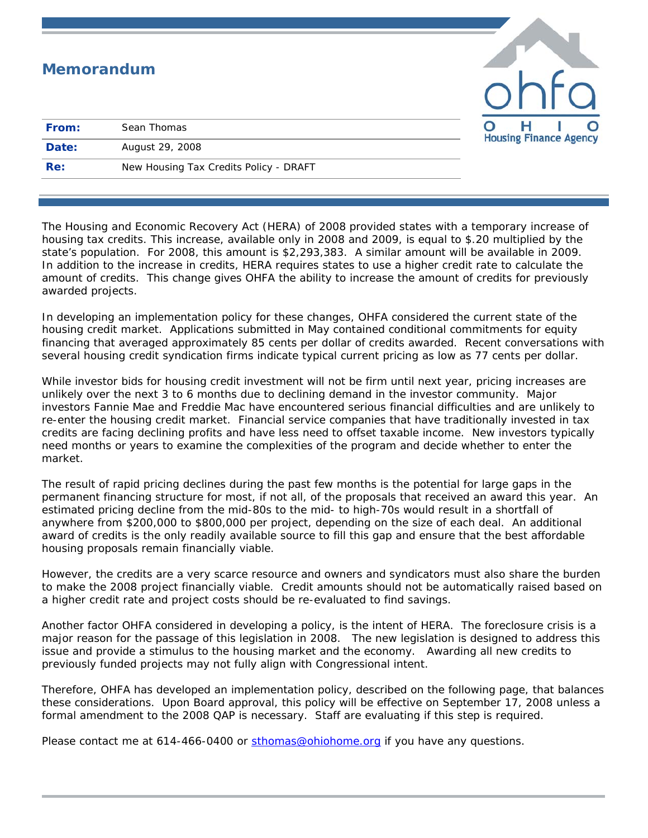|       | <b>Memorandum</b>                      | ohta                                                     |
|-------|----------------------------------------|----------------------------------------------------------|
| From: | Sean Thomas                            | $\overline{\mathbf{O}}$<br><b>Housing Finance Agency</b> |
| Date: | August 29, 2008                        |                                                          |
| Re:   | New Housing Tax Credits Policy - DRAFT |                                                          |

The Housing and Economic Recovery Act (HERA) of 2008 provided states with a temporary increase of housing tax credits. This increase, available only in 2008 and 2009, is equal to \$.20 multiplied by the state's population. For 2008, this amount is \$2,293,383. A similar amount will be available in 2009. In addition to the increase in credits, HERA requires states to use a higher credit rate to calculate the amount of credits. This change gives OHFA the ability to increase the amount of credits for previously awarded projects.

In developing an implementation policy for these changes, OHFA considered the current state of the housing credit market. Applications submitted in May contained conditional commitments for equity financing that averaged approximately 85 cents per dollar of credits awarded. Recent conversations with several housing credit syndication firms indicate typical current pricing as low as 77 cents per dollar.

While investor bids for housing credit investment will not be firm until next year, pricing increases are unlikely over the next 3 to 6 months due to declining demand in the investor community. Major investors Fannie Mae and Freddie Mac have encountered serious financial difficulties and are unlikely to re-enter the housing credit market. Financial service companies that have traditionally invested in tax credits are facing declining profits and have less need to offset taxable income. New investors typically need months or years to examine the complexities of the program and decide whether to enter the market.

The result of rapid pricing declines during the past few months is the potential for large gaps in the permanent financing structure for most, if not all, of the proposals that received an award this year. An estimated pricing decline from the mid-80s to the mid- to high-70s would result in a shortfall of anywhere from \$200,000 to \$800,000 per project, depending on the size of each deal. An additional award of credits is the only readily available source to fill this gap and ensure that the best affordable housing proposals remain financially viable.

However, the credits are a very scarce resource and owners and syndicators must also share the burden to make the 2008 project financially viable. Credit amounts should not be automatically raised based on a higher credit rate and project costs should be re-evaluated to find savings.

Another factor OHFA considered in developing a policy, is the intent of HERA. The foreclosure crisis is a major reason for the passage of this legislation in 2008. The new legislation is designed to address this issue and provide a stimulus to the housing market and the economy. Awarding all new credits to previously funded projects may not fully align with Congressional intent.

Therefore, OHFA has developed an implementation policy, described on the following page, that balances these considerations. Upon Board approval, this policy will be effective on September 17, 2008 unless a formal amendment to the 2008 QAP is necessary. Staff are evaluating if this step is required.

Please contact me at 614-466-0400 or [sthomas@ohiohome.org](mailto:sthomas@ohiohome.org) if you have any questions.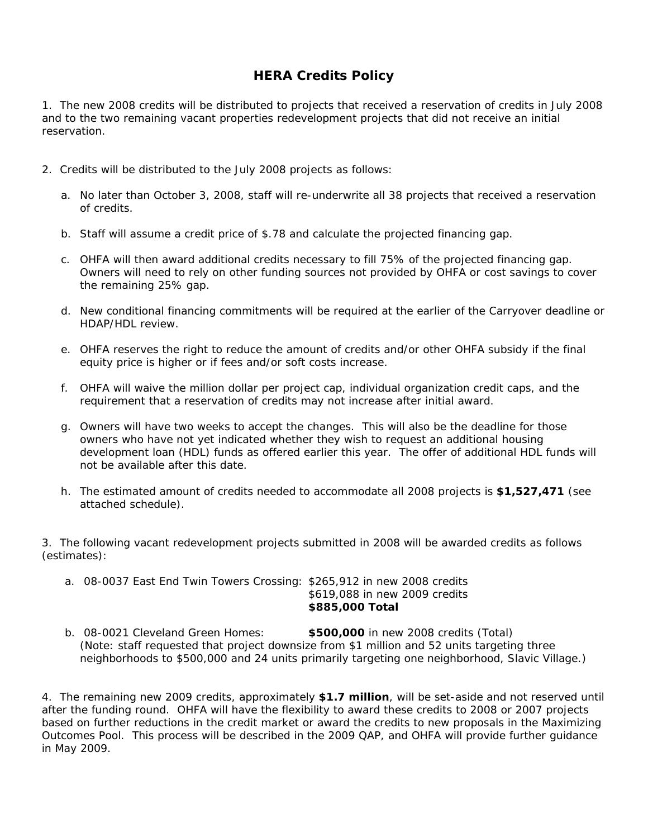## **HERA Credits Policy**

1. The new 2008 credits will be distributed to projects that received a reservation of credits in July 2008 and to the two remaining vacant properties redevelopment projects that did not receive an initial reservation.

- 2. Credits will be distributed to the July 2008 projects as follows:
	- a. No later than October 3, 2008, staff will re-underwrite all 38 projects that received a reservation of credits.
	- b. Staff will assume a credit price of \$.78 and calculate the projected financing gap.
	- c. OHFA will then award additional credits necessary to fill 75% of the projected financing gap. Owners will need to rely on other funding sources not provided by OHFA or cost savings to cover the remaining 25% gap.
	- d. New conditional financing commitments will be required at the earlier of the Carryover deadline or HDAP/HDL review.
	- e. OHFA reserves the right to reduce the amount of credits and/or other OHFA subsidy if the final equity price is higher or if fees and/or soft costs increase.
	- f. OHFA will waive the million dollar per project cap, individual organization credit caps, and the requirement that a reservation of credits may not increase after initial award.
	- g. Owners will have two weeks to accept the changes. This will also be the deadline for those owners who have not yet indicated whether they wish to request an additional housing development loan (HDL) funds as offered earlier this year. The offer of additional HDL funds will not be available after this date.
	- h. The estimated amount of credits needed to accommodate all 2008 projects is **\$1,527,471** (see attached schedule).

3. The following vacant redevelopment projects submitted in 2008 will be awarded credits as follows (estimates):

- a. 08-0037 East End Twin Towers Crossing: \$265,912 in new 2008 credits \$619,088 in new 2009 credits **\$885,000 Total**
- b. 08-0021 Cleveland Green Homes: **\$500,000** in new 2008 credits (Total) (Note: staff requested that project downsize from \$1 million and 52 units targeting three neighborhoods to \$500,000 and 24 units primarily targeting one neighborhood, Slavic Village.)

4. The remaining new 2009 credits, approximately **\$1.7 million**, will be set-aside and not reserved until after the funding round. OHFA will have the flexibility to award these credits to 2008 or 2007 projects based on further reductions in the credit market or award the credits to new proposals in the Maximizing Outcomes Pool. This process will be described in the 2009 QAP, and OHFA will provide further guidance in May 2009.